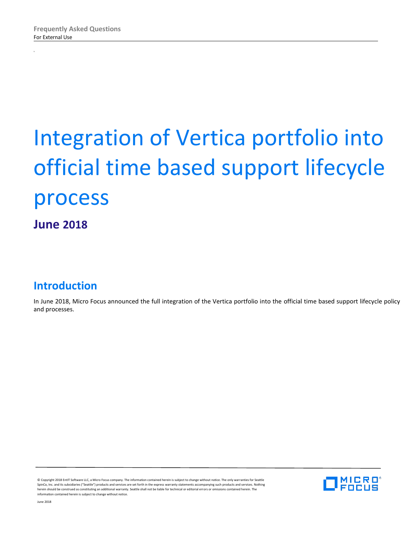x

# Integration of Vertica portfolio into official time based support lifecycle process

**June 2018**

# **Introduction**

In June 2018, Micro Focus announced the full integration of the Vertica portfolio into the official time based support lifecycle policy and processes.

© Copyright 2018 EntIT Software LLC, a Micro Focus company. The information contained herein is subject to change without notice. The only warranties for Seattle SpinCo, Inc. and its subsidiaries ("Seattle") products and services are set forth in the express warranty statements accompanying such products and services. Nothing herein should be construed as constituting an additional warranty. Seattle shall not be liable for technical or editorial errors or omissions contained herein. The information contained herein is subject to change without notice.

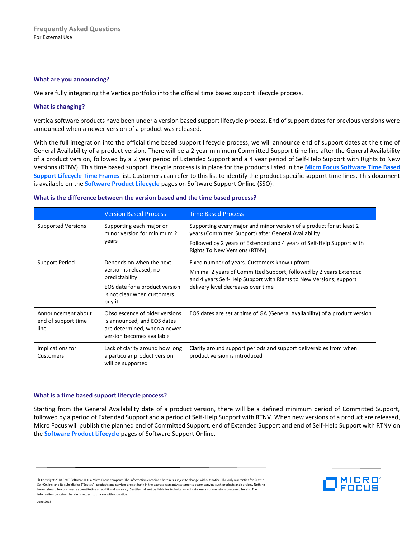#### **What are you announcing?**

We are fully integrating the Vertica portfolio into the official time based support lifecycle process.

# **What is changing?**

Vertica software products have been under a version based support lifecycle process. End of support dates for previous versions were announced when a newer version of a product was released.

With the full integration into the official time based support lifecycle process, we will announce end of support dates at the time of General Availability of a product version. There will be a 2 year minimum Committed Support time line after the General Availability of a product version, followed by a 2 year period of Extended Support and a 4 year period of Self-Help Support with Rights to New Versions (RTNV). This time based support lifecycle process is in place for the products listed in the **[Micro Focus Software Time Based](https://softwaresupport.softwaregrp.com/web/softwaresupport/document/-/facetsearch/document/KM01510355)  [Support Lifecycle Time Frames](https://softwaresupport.softwaregrp.com/web/softwaresupport/document/-/facetsearch/document/KM01510355)** list. Customers can refer to this list to identify the product specific support time lines. This document is available on the **[Software Product Lifecycle](https://softwaresupport.softwaregrp.com/web/softwaresupport/obsolescence-migrations)** pages on Software Support Online (SSO).

#### **What is the difference between the version based and the time based process?**

|                                                   | <b>Version Based Process</b>                                                                                                                     | <b>Time Based Process</b>                                                                                                                                                                                                                     |  |
|---------------------------------------------------|--------------------------------------------------------------------------------------------------------------------------------------------------|-----------------------------------------------------------------------------------------------------------------------------------------------------------------------------------------------------------------------------------------------|--|
| <b>Supported Versions</b>                         | Supporting each major or<br>minor version for minimum 2<br>years                                                                                 | Supporting every major and minor version of a product for at least 2<br>years (Committed Support) after General Availability<br>Followed by 2 years of Extended and 4 years of Self-Help Support with<br><b>Rights To New Versions (RTNV)</b> |  |
| Support Period                                    | Depends on when the next<br>version is released; no<br>predictability<br>EOS date for a product version<br>is not clear when customers<br>buy it | Fixed number of years. Customers know upfront<br>Minimal 2 years of Committed Support, followed by 2 years Extended<br>and 4 years Self-Help Support with Rights to New Versions; support<br>delivery level decreases over time               |  |
| Announcement about<br>end of support time<br>line | Obsolescence of older versions<br>is announced, and EOS dates<br>are determined, when a newer<br>version becomes available                       | EOS dates are set at time of GA (General Availability) of a product version                                                                                                                                                                   |  |
| Implications for<br>Customers                     | Lack of clarity around how long<br>a particular product version<br>will be supported                                                             | Clarity around support periods and support deliverables from when<br>product version is introduced                                                                                                                                            |  |

#### **What is a time based support lifecycle process?**

Starting from the General Availability date of a product version, there will be a defined minimum period of Committed Support, followed by a period of Extended Support and a period of Self-Help Support with RTNV. When new versions of a product are released, Micro Focus will publish the planned end of Committed Support, end of Extended Support and end of Self-Help Support with RTNV on the **[Software Product Lifecycle](https://softwaresupport.softwaregrp.com/web/softwaresupport/obsolescence-migrations)** pages of Software Support Online.

© Copyright 2018 EntIT Software LLC, a Micro Focus company. The information contained herein is subject to change without notice. The only warranties for Seattle SpinCo, Inc. and its subsidiaries ("Seattle") products and services are set forth in the express warranty statements accompanying such products and services. Nothing herein should be construed as constituting an additional warranty. Seattle shall not be liable for technical or editorial errors or omissions contained herein. The information contained herein is subject to change without notice.

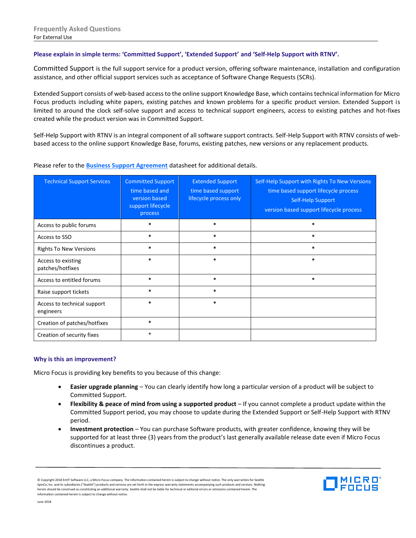# **Please explain in simple terms: 'Committed Support', 'Extended Support' and 'Self-Help Support with RTNV'.**

Committed Support is the full support service for a product version, offering software maintenance, installation and configuration assistance, and other official support services such as acceptance of Software Change Requests (SCRs).

Extended Support consists of web-based access to the online support Knowledge Base, which contains technical information for Micro Focus products including white papers, existing patches and known problems for a specific product version. Extended Support is limited to around the clock self-solve support and access to technical support engineers, access to existing patches and hot-fixes created while the product version was in Committed Support.

Self-Help Support with RTNV is an integral component of all software support contracts. Self-Help Support with RTNV consists of webbased access to the online support Knowledge Base, forums, existing patches, new versions or any replacement products.

#### Please refer to the **[Business Support Agreement](http://files.asset.microfocus.com/6785/en/6785.pdf)** datasheet for additional details.

| <b>Technical Support Services</b>        | <b>Committed Support</b><br>time based and<br>version based<br>support lifecycle<br>process | <b>Extended Support</b><br>time based support<br>lifecycle process only | Self-Help Support with Rights To New Versions<br>time based support lifecycle process<br>Self-Help Support<br>version based support lifecycle process |
|------------------------------------------|---------------------------------------------------------------------------------------------|-------------------------------------------------------------------------|-------------------------------------------------------------------------------------------------------------------------------------------------------|
| Access to public forums                  | $\ast$                                                                                      | $\ast$                                                                  | $\ast$                                                                                                                                                |
| Access to SSO                            | $\ast$                                                                                      | $\ast$                                                                  | $\ast$                                                                                                                                                |
| <b>Rights To New Versions</b>            | $\ast$                                                                                      | $\ast$                                                                  | $\ast$                                                                                                                                                |
| Access to existing<br>patches/hotfixes   | $\ast$                                                                                      | $\ast$                                                                  | $\ast$                                                                                                                                                |
| Access to entitled forums                | $\ast$                                                                                      | $\ast$                                                                  | $\ast$                                                                                                                                                |
| Raise support tickets                    | $\ast$                                                                                      | $\ast$                                                                  |                                                                                                                                                       |
| Access to technical support<br>engineers | $\ast$                                                                                      | $\ast$                                                                  |                                                                                                                                                       |
| Creation of patches/hotfixes             | $\ast$                                                                                      |                                                                         |                                                                                                                                                       |
| Creation of security fixes               | $\ast$                                                                                      |                                                                         |                                                                                                                                                       |

#### **Why is this an improvement?**

Micro Focus is providing key benefits to you because of this change:

- **Easier upgrade planning** You can clearly identify how long a particular version of a product will be subject to Committed Support.
- **Flexibility & peace of mind from using a supported product** If you cannot complete a product update within the Committed Support period, you may choose to update during the Extended Support or Self-Help Support with RTNV period.
- **Investment protection** You can purchase Software products, with greater confidence, knowing they will be supported for at least three (3) years from the product's last generally available release date even if Micro Focus discontinues a product.



<sup>©</sup> Copyright 2018 EntIT Software LLC, a Micro Focus company. The information contained herein is subject to change without notice. The only warranties for Seattle SpinCo, Inc. and its subsidiaries ("Seattle") products and services are set forth in the express warranty statements accompanying such products and services. Nothing herein should be construed as constituting an additional warranty. Seattle shall not be liable for technical or editorial errors or omissions contained herein. The information contained herein is subject to change without notice.